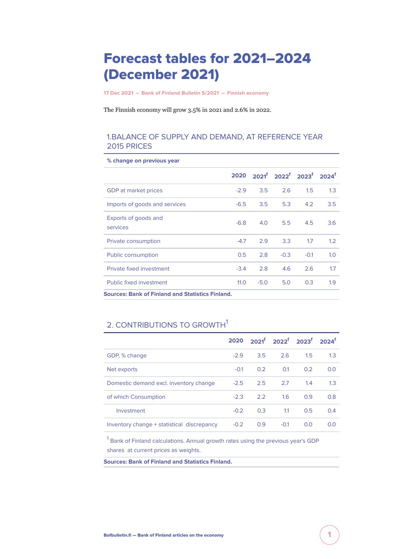# Forecast tables for 2021–2024 (December 2021)

**[17 Dec 2021](https://www.bofbulletin.fi/en/archive/?date=2021-12-17) – [Bank of Finland Bulletin 5/2021](https://www.bofbulletin.fi/en/archive/?issue=2021-5) – [Finnish economy](https://www.bofbulletin.fi/en/finnish-economy/)**

The Finnish economy will grow 3.5% in 2021 and 2.6% in 2022.

### 1.BALANCE OF SUPPLY AND DEMAND, AT REFERENCE YEAR 2015 PRICES

| o change on previous year                               |        |        |                                                                           |        |     |
|---------------------------------------------------------|--------|--------|---------------------------------------------------------------------------|--------|-----|
|                                                         | 2020   |        | $2021^{\mathrm{f}}$ 2022 <sup>f</sup> 2023 <sup>f</sup> 2024 <sup>f</sup> |        |     |
| GDP at market prices                                    | $-2.9$ | 3.5    | 2.6                                                                       | 1.5    | 1.3 |
| Imports of goods and services                           | $-6.5$ | 3.5    | 5.3                                                                       | 4.2    | 3.5 |
| Exports of goods and<br>services                        | $-6.8$ | 4.0    | 5.5                                                                       | 4.5    | 3.6 |
| Private consumption                                     | $-4.7$ | 2.9    | 3.3                                                                       | 1.7    | 1.2 |
| Public consumption                                      | 0.5    | 2.8    | $-0.3$                                                                    | $-0.1$ | 1.0 |
| Private fixed investment                                | $-3.4$ | 2.8    | 4.6                                                                       | 2.6    | 1.7 |
| Public fixed investment                                 | 11.0   | $-5.0$ | 5.0                                                                       | 0.3    | 1.9 |
| <b>Sources: Bank of Finland and Statistics Finland.</b> |        |        |                                                                           |        |     |

# **% change on previous year**

# 2. CONTRIBUTIONS TO GROWTH<sup>1</sup>

|                                            |        |     |        | $2020$ $2021^{\circ}$ $2022^{\circ}$ $2023^{\circ}$ $2024^{\circ}$ |     |
|--------------------------------------------|--------|-----|--------|--------------------------------------------------------------------|-----|
| GDP, % change                              | $-2.9$ | 3.5 | 26     | 1.5                                                                | 1.3 |
| Net exports                                | $-0.1$ | 0.2 | 0.1    | 0.2                                                                | 0.0 |
| Domestic demand excl. inventory change     | $-2.5$ | 2.5 | 2.7    | 1.4                                                                | 1.3 |
| of which Consumption                       | $-2.3$ | 2.2 | 1.6    | 0.9                                                                | 0.8 |
| Investment                                 | $-0.2$ | 0.3 | 1.1    | 0.5                                                                | 0.4 |
| Inventory change + statistical discrepancy | $-0.2$ | 0.9 | $-0.1$ | 0.0                                                                | 0.0 |

<sup>1</sup> Bank of Finland calculations. Annual growth rates using the previous year's GDP shares at current prices as weights.

**Sources: Bank of Finland and Statistics Finland.**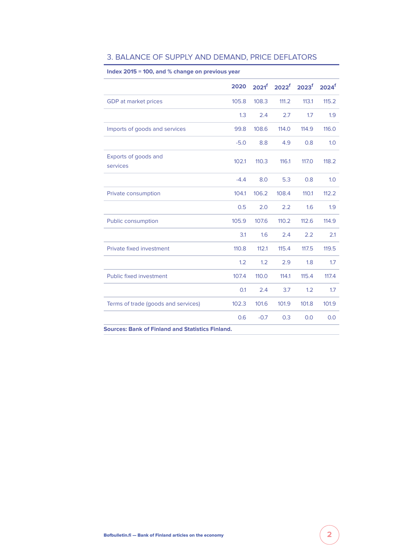| Index 2015 = 100, and % change on previous year |        |                   |       |                            |                     |  |  |
|-------------------------------------------------|--------|-------------------|-------|----------------------------|---------------------|--|--|
|                                                 | 2020   | 2021 <sup>f</sup> |       | $2022^f$ 2023 <sup>f</sup> | $2024$ <sup>f</sup> |  |  |
| GDP at market prices                            | 105.8  | 108.3             | 111.2 | 113.1                      | 115.2               |  |  |
|                                                 | 1.3    | 2.4               | 2.7   | 1.7                        | 1.9                 |  |  |
| Imports of goods and services                   | 99.8   | 108.6             | 114.0 | 114.9                      | 116.0               |  |  |
|                                                 | $-5.0$ | 8.8               | 4.9   | 0.8                        | 1.0                 |  |  |
| Exports of goods and<br>services                | 102.1  | 110.3             | 116.1 | 117.0                      | 118.2               |  |  |
|                                                 | $-4.4$ | 8.0               | 5.3   | 0.8                        | 1.0                 |  |  |
| Private consumption                             | 104.1  | 106.2             | 108.4 | 110.1                      | 112.2               |  |  |
|                                                 | 0.5    | 2.0               | 2.2   | 1.6                        | 1.9                 |  |  |
| Public consumption                              | 105.9  | 107.6             | 110.2 | 112.6                      | 114.9               |  |  |
|                                                 | 3.1    | 1.6               | 2.4   | 2.2                        | 2.1                 |  |  |
| Private fixed investment                        | 110.8  | 112.1             | 115.4 | 117.5                      | 119.5               |  |  |
|                                                 | 1.2    | 1.2               | 2.9   | 1.8                        | 1.7                 |  |  |
| <b>Public fixed investment</b>                  | 107.4  | 110.0             | 114.1 | 115.4                      | 117.4               |  |  |
|                                                 | 0.1    | 2.4               | 3.7   | 1.2                        | 1.7                 |  |  |
| Terms of trade (goods and services)             | 102.3  | 101.6             | 101.9 | 101.8                      | 101.9               |  |  |
|                                                 | 0.6    | $-0.7$            | 0.3   | 0.0                        | 0.0                 |  |  |

## 3. BALANCE OF SUPPLY AND DEMAND, PRICE DEFLATORS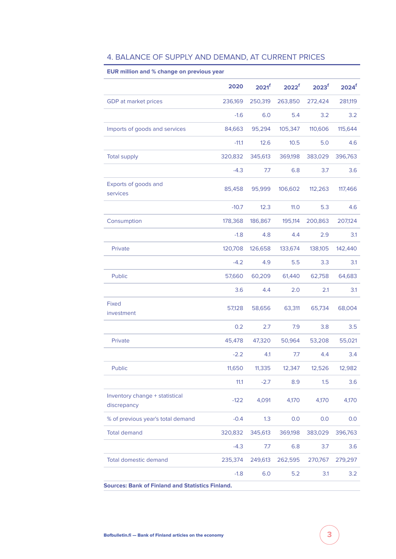| EUR million and % change on previous year               |         |                   |                   |                   |                     |
|---------------------------------------------------------|---------|-------------------|-------------------|-------------------|---------------------|
|                                                         | 2020    | 2021 <sup>f</sup> | 2022 <sup>f</sup> | 2023 <sup>f</sup> | $2024$ <sup>f</sup> |
| <b>GDP</b> at market prices                             | 236,169 | 250,319           | 263,850           | 272,424           | 281,119             |
|                                                         | $-1.6$  | 6.0               | 5.4               | 3.2               | 3.2                 |
| Imports of goods and services                           | 84,663  | 95,294            | 105,347           | 110,606           | 115,644             |
|                                                         | $-11.1$ | 12.6              | 10.5              | 5.0               | 4.6                 |
| <b>Total supply</b>                                     | 320,832 | 345,613           | 369,198           | 383,029           | 396,763             |
|                                                         | $-4.3$  | 7.7               | 6.8               | 3.7               | 3.6                 |
| Exports of goods and<br>services                        | 85,458  | 95,999            | 106,602           | 112,263           | 117,466             |
|                                                         | $-10.7$ | 12.3              | 11.0              | 5.3               | 4.6                 |
| Consumption                                             | 178,368 | 186,867           | 195,114           | 200,863           | 207,124             |
|                                                         | $-1.8$  | 4.8               | 4.4               | 2.9               | 3.1                 |
| Private                                                 | 120,708 | 126,658           | 133,674           | 138,105           | 142,440             |
|                                                         | $-4.2$  | 4.9               | 5.5               | 3.3               | 3.1                 |
| Public                                                  | 57,660  | 60,209            | 61,440            | 62,758            | 64,683              |
|                                                         | 3.6     | 4.4               | 2.0               | 2.1               | 3.1                 |
| <b>Fixed</b><br>investment                              | 57,128  | 58,656            | 63,311            | 65,734            | 68,004              |
|                                                         | 0.2     | 2.7               | 7.9               | 3.8               | 3.5                 |
| Private                                                 | 45,478  | 47,320            | 50,964            | 53,208            | 55,021              |
|                                                         | $-2.2$  | 4.1               | 7.7               | 4.4               | 3.4                 |
| Public                                                  | 11,650  | 11,335            | 12,347            | 12,526            | 12,982              |
|                                                         | 11.1    | $-2.7$            | 8.9               | 1.5               | 3.6                 |
| Inventory change + statistical<br>discrepancy           | $-122$  | 4,091             | 4,170             | 4,170             | 4,170               |
| % of previous year's total demand                       | $-0.4$  | 1.3               | 0.0               | 0.0               | 0.0                 |
| <b>Total demand</b>                                     | 320,832 | 345,613           | 369,198           | 383,029           | 396,763             |
|                                                         | $-4.3$  | 7.7               | 6.8               | 3.7               | 3.6                 |
| <b>Total domestic demand</b>                            | 235,374 | 249,613           | 262,595           | 270,767           | 279,297             |
|                                                         | $-1.8$  | 6.0               | 5.2               | 3.1               | 3.2                 |
| <b>Sources: Bank of Finland and Statistics Finland.</b> |         |                   |                   |                   |                     |

# 4. BALANCE OF SUPPLY AND DEMAND, AT CURRENT PRICES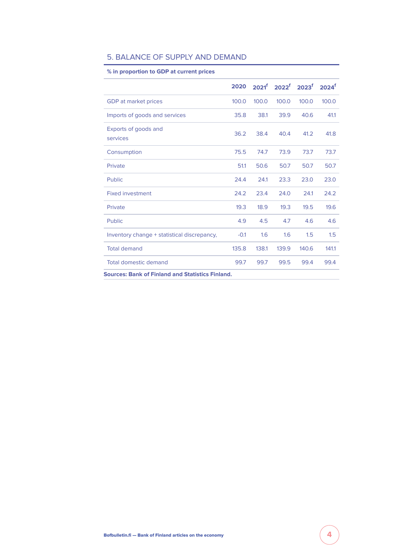| % in proportion to GDP at current prices                |        |       |                                                         |       |                     |
|---------------------------------------------------------|--------|-------|---------------------------------------------------------|-------|---------------------|
|                                                         | 2020   |       | $2021^{\mathrm{f}}$ 2022 <sup>f</sup> 2023 <sup>f</sup> |       | $2024$ <sup>f</sup> |
| GDP at market prices                                    | 100.0  | 100.0 | 100.0                                                   | 100.0 | 100.0               |
| Imports of goods and services                           | 35.8   | 38.1  | 39.9                                                    | 40.6  | 41.1                |
| Exports of goods and<br>services                        | 36.2   | 38.4  | 40.4                                                    | 41.2  | 41.8                |
| Consumption                                             | 75.5   | 74.7  | 73.9                                                    | 73.7  | 73.7                |
| Private                                                 | 51.1   | 50.6  | 50.7                                                    | 50.7  | 50.7                |
| Public                                                  | 24.4   | 241   | 23.3                                                    | 23.0  | 23.0                |
| <b>Fixed investment</b>                                 | 24.2   | 23.4  | 24.0                                                    | 24.1  | 24.2                |
| Private                                                 | 19.3   | 18.9  | 19.3                                                    | 19.5  | 19.6                |
| Public                                                  | 4.9    | 4.5   | 4.7                                                     | 4.6   | 4.6                 |
| Inventory change + statistical discrepancy,             | $-0.1$ | 1.6   | 1.6                                                     | 1.5   | 1.5                 |
| <b>Total demand</b>                                     | 135.8  | 138.1 | 139.9                                                   | 140.6 | 141.1               |
| Total domestic demand                                   | 99.7   | 99.7  | 99.5                                                    | 99.4  | 99.4                |
| <b>Sources: Bank of Finland and Statistics Finland.</b> |        |       |                                                         |       |                     |

#### 5. BALANCE OF SUPPLY AND DEMAND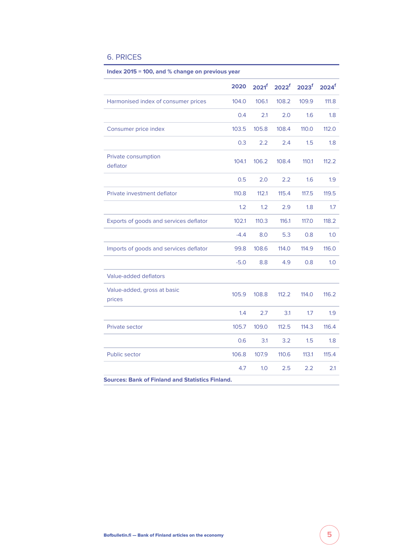## 6. PRICES

|                                        | 2020   | 2021 <sup>f</sup> | 2022 <sup>f</sup> | 2023 <sup>f</sup> | 2024 <sup>f</sup> |
|----------------------------------------|--------|-------------------|-------------------|-------------------|-------------------|
| Harmonised index of consumer prices    | 104.0  | 106.1             | 108.2             | 109.9             | 111.8             |
|                                        | 0.4    | 2.1               | 2.0               | 1.6               | 1.8               |
| Consumer price index                   | 103.5  | 105.8             | 108.4             | 110.0             | 112.0             |
|                                        | 0.3    | 2.2               | 2.4               | 1.5               | 1.8               |
| Private consumption<br>deflator        | 104.1  | 106.2             | 108.4             | 110.1             | 112.2             |
|                                        | 0.5    | 2.0               | 2.2               | 1.6               | 1.9               |
| Private investment deflator            | 110.8  | 112.1             | 115.4             | 117.5             | 119.5             |
|                                        | 1.2    | 1.2               | 2.9               | 1.8               | 1.7               |
| Exports of goods and services deflator | 102.1  | 110.3             | 116.1             | 117.0             | 118.2             |
|                                        | $-4.4$ | 8.0               | 5.3               | 0.8               | 1.0               |
| Imports of goods and services deflator | 99.8   | 108.6             | 114.0             | 114.9             | 116.0             |
|                                        | $-5.0$ | 8.8               | 4.9               | 0.8               | 1.0               |
| Value-added deflators                  |        |                   |                   |                   |                   |
| Value-added, gross at basic<br>prices  | 105.9  | 108.8             | 112.2             | 114.0             | 116.2             |
|                                        | 1.4    | 2.7               | 3.1               | 1.7               | 1.9               |
| Private sector                         | 105.7  | 109.0             | 112.5             | 114.3             | 116.4             |
|                                        | 0.6    | 3.1               | 3.2               | 1.5               | 1.8               |
| <b>Public sector</b>                   | 106.8  | 107.9             | 110.6             | 113.1             | 115.4             |
|                                        | 4.7    | 1.0               | 2.5               | 2.2               | 2.1               |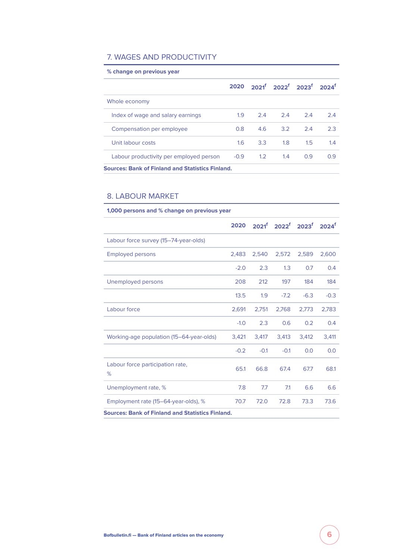# 7. WAGES AND PRODUCTIVITY

| % change on previous year                               |        |     |                                                                              |               |     |
|---------------------------------------------------------|--------|-----|------------------------------------------------------------------------------|---------------|-----|
|                                                         |        |     | 2020 2021 <sup>f</sup> 2022 <sup>f</sup> 2023 <sup>f</sup> 2024 <sup>f</sup> |               |     |
| Whole economy                                           |        |     |                                                                              |               |     |
| Index of wage and salary earnings                       | 1.9    | 2.4 | 2.4                                                                          | 2.4           | 2.4 |
| Compensation per employee                               | 0.8    | 4.6 | -3.2                                                                         | 24            | 2.3 |
| Unit labour costs                                       | 16     | 3.3 | 1.8                                                                          | $1.5^{\circ}$ | 1.4 |
| Labour productivity per employed person                 | $-0.9$ | 1.2 | 1.4                                                                          | 0.9           | 0.9 |
| <b>Sources: Bank of Finland and Statistics Finland.</b> |        |     |                                                                              |               |     |

# 8. LABOUR MARKET

| 1,000 persons and % change on previous year             |        |        |        |                                                                         |        |
|---------------------------------------------------------|--------|--------|--------|-------------------------------------------------------------------------|--------|
|                                                         | 2020   |        |        | 2021 <sup>f</sup> 2022 <sup>f</sup> 2023 <sup>f</sup> 2024 <sup>f</sup> |        |
| Labour force survey (15-74-year-olds)                   |        |        |        |                                                                         |        |
| <b>Employed persons</b>                                 | 2,483  | 2,540  | 2,572  | 2,589                                                                   | 2,600  |
|                                                         | $-2.0$ | 2.3    | 1.3    | 0.7                                                                     | 0.4    |
| Unemployed persons                                      | 208    | 212    | 197    | 184                                                                     | 184    |
|                                                         | 13.5   | 1.9    | $-7.2$ | $-6.3$                                                                  | $-0.3$ |
| Labour force                                            | 2,691  | 2,751  | 2,768  | 2,773                                                                   | 2,783  |
|                                                         | $-1.0$ | 2.3    | 0.6    | 0.2                                                                     | 0.4    |
| Working-age population (15-64-year-olds)                | 3,421  | 3,417  | 3,413  | 3,412                                                                   | 3,411  |
|                                                         | $-0.2$ | $-0.1$ | $-0.1$ | 0.0                                                                     | 0.0    |
| Labour force participation rate,<br>%                   | 65.1   | 66.8   | 67.4   | 67.7                                                                    | 68.1   |
| Unemployment rate, %                                    | 7.8    | 7.7    | 7.1    | 6.6                                                                     | 6.6    |
| Employment rate (15-64-year-olds), %                    | 70.7   | 72.0   | 72.8   | 73.3                                                                    | 73.6   |
| <b>Sources: Bank of Finland and Statistics Finland.</b> |        |        |        |                                                                         |        |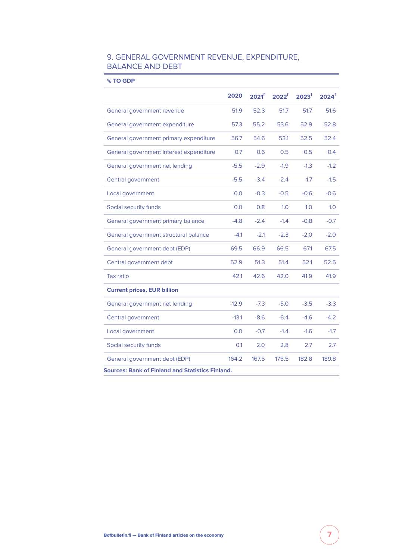# 9. GENERAL GOVERNMENT REVENUE, EXPENDITURE, BALANCE AND DEBT

**% TO GDP**

|                                                         | 2020    | 2021 <sup>f</sup> | 2022 <sup>f</sup> | 2023 <sup>f</sup> | $2024$ <sup>f</sup> |  |  |  |
|---------------------------------------------------------|---------|-------------------|-------------------|-------------------|---------------------|--|--|--|
| General government revenue                              | 51.9    | 52.3              | 51.7              | 51.7              | 51.6                |  |  |  |
| General government expenditure                          | 57.3    | 55.2              | 53.6              | 52.9              | 52.8                |  |  |  |
| General government primary expenditure                  | 56.7    | 54.6              | 53.1              | 52.5              | 52.4                |  |  |  |
| General government interest expenditure                 | 0.7     | 0.6               | 0.5               | 0.5               | 0.4                 |  |  |  |
| General government net lending                          | $-5.5$  | $-2.9$            | $-1.9$            | $-1.3$            | $-1.2$              |  |  |  |
| Central government                                      | $-5.5$  | $-3.4$            | $-2.4$            | $-1.7$            | $-1.5$              |  |  |  |
| Local government                                        | 0.0     | $-0.3$            | $-0.5$            | $-0.6$            | $-0.6$              |  |  |  |
| Social security funds                                   | 0.0     | 0.8               | 1.0               | 1.0               | 1.0                 |  |  |  |
| General government primary balance                      | $-4.8$  | $-2.4$            | $-1.4$            | $-0.8$            | $-0.7$              |  |  |  |
| General government structural balance                   | $-4.1$  | $-2.1$            | $-2.3$            | $-2.0$            | $-2.0$              |  |  |  |
| General government debt (EDP)                           | 69.5    | 66.9              | 66.5              | 67.1              | 67.5                |  |  |  |
| Central government debt                                 | 52.9    | 51.3              | 51.4              | 52.1              | 52.5                |  |  |  |
| <b>Tax ratio</b>                                        | 42.1    | 42.6              | 42.0              | 41.9              | 41.9                |  |  |  |
| <b>Current prices, EUR billion</b>                      |         |                   |                   |                   |                     |  |  |  |
| General government net lending                          | $-12.9$ | $-7.3$            | $-5.0$            | $-3.5$            | $-3.3$              |  |  |  |
| Central government                                      | $-13.1$ | $-8.6$            | $-6.4$            | $-4.6$            | $-4.2$              |  |  |  |
| Local government                                        | 0.0     | $-0.7$            | $-1.4$            | $-1.6$            | $-1.7$              |  |  |  |
| Social security funds                                   | 0.1     | 2.0               | 2.8               | 2.7               | 2.7                 |  |  |  |
| General government debt (EDP)                           | 164.2   | 167.5             | 175.5             | 182.8             | 189.8               |  |  |  |
| <b>Sources: Bank of Finland and Statistics Finland.</b> |         |                   |                   |                   |                     |  |  |  |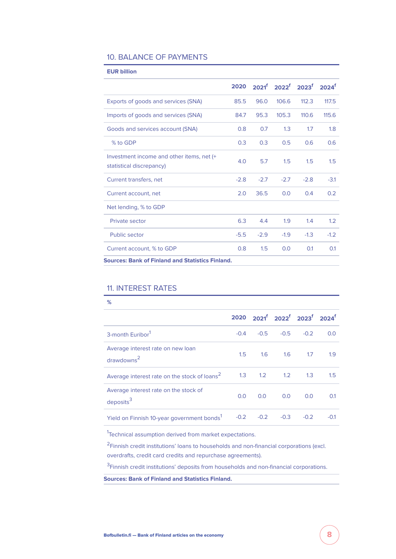### 10. BALANCE OF PAYMENTS

| <b>EUR billion</b>                                                    |        |        |        |                                                         |                     |
|-----------------------------------------------------------------------|--------|--------|--------|---------------------------------------------------------|---------------------|
|                                                                       | 2020   |        |        | $2021^{\mathrm{f}}$ 2022 <sup>f</sup> 2023 <sup>f</sup> | $2024$ <sup>f</sup> |
| Exports of goods and services (SNA)                                   | 85.5   | 96.0   | 106.6  | 112.3                                                   | 117.5               |
| Imports of goods and services (SNA)                                   | 84.7   | 95.3   | 105.3  | 110.6                                                   | 115.6               |
| Goods and services account (SNA)                                      | 0.8    | 0.7    | 1.3    | 1.7                                                     | 1.8                 |
| % to GDP                                                              | 0.3    | 0.3    | 0.5    | 0.6                                                     | 0.6                 |
| Investment income and other items, net (+<br>statistical discrepancy) | 4.0    | 5.7    | 1.5    | 1.5                                                     | 1.5                 |
| Current transfers, net                                                | $-2.8$ | $-2.7$ | $-2.7$ | $-2.8$                                                  | $-3.1$              |
| Current account, net                                                  | 2.0    | 36.5   | 0.0    | 0.4                                                     | 0.2                 |
| Net lending, % to GDP                                                 |        |        |        |                                                         |                     |
| Private sector                                                        | 6.3    | 4.4    | 1.9    | 1.4                                                     | 1.2                 |
| Public sector                                                         | $-5.5$ | $-2.9$ | $-1.9$ | $-1.3$                                                  | $-1.2$              |
| Current account, % to GDP                                             | 0.8    | 1.5    | 0.0    | 0.1                                                     | 0.1                 |
| <b>Sources: Bank of Finland and Statistics Finland.</b>               |        |        |        |                                                         |                     |

## 11. INTEREST RATES

| %                                                           |     |             |                                                                              |        |        |
|-------------------------------------------------------------|-----|-------------|------------------------------------------------------------------------------|--------|--------|
|                                                             |     |             | 2020 2021 <sup>f</sup> 2022 <sup>f</sup> 2023 <sup>f</sup> 2024 <sup>f</sup> |        |        |
| 3-month Euribor <sup>1</sup>                                |     |             | $-0.4$ $-0.5$ $-0.5$ $-0.2$                                                  |        | 0.0    |
| Average interest rate on new loan<br>drawdowns <sup>2</sup> | 1.5 |             | 1.6 1.6 1.7                                                                  |        | 1.9    |
| Average interest rate on the stock of loans <sup>2</sup>    |     | $1.3 \t1.2$ | 1.2                                                                          | 1.3    | 1.5    |
| Average interest rate on the stock of<br>deposits $3$       | 0.0 | 0.0         | 0.0                                                                          | 0.0    | 0.1    |
| Yield on Finnish 10-year government bonds <sup>1</sup>      |     | $-0.2 -0.2$ | $-0.3$                                                                       | $-0.2$ | $-0.1$ |

<sup>1</sup>Technical assumption derived from market expectations.

<sup>2</sup> Finnish credit institutions' loans to households and non-financial corporations (excl. overdrafts, credit card credits and repurchase agreements).

<sup>3</sup> Finnish credit institutions' deposits from households and non-financial corporations.

**Sources: Bank of Finland and Statistics Finland.**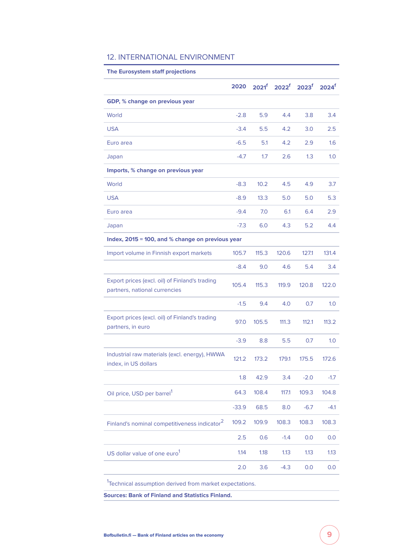#### 12. INTERNATIONAL ENVIRONMENT

# **The Eurosystem staff projections 2020 2021<sup>f</sup> 2022<sup>f</sup> 2023<sup>f</sup> 2024<sup>f</sup> GDP, % change on previous year** World -2.8 5.9 4.4 3.8 3.4 USA -3.4 5.5 4.2 3.0 2.5 Euro area -6.5 5.1 4.2 2.9 1.6 Japan -4.7 1.7 2.6 1.3 1.0 **Imports, % change on previous year** World -8.3 10.2 4.5 4.9 3.7 USA -8.9 13.3 5.0 5.0 5.3 Euro area -9.4 7.0 6.1 6.4 2.9 Japan -7.3 6.0 4.3 5.2 4.4 **Index, 2015 = 100, and % change on previous year** Import volume in Finnish export markets 105.7 115.3 120.6 127.1 131.4 -8.4 9.0 4.6 5.4 3.4 Export prices (excl. oil) of Finland's trading partners, national currencies 105.4 115.3 119.9 120.8 122.0 -1.5 9.4 4.0 0.7 1.0 Export prices (excl. oil) of Finland's trading partners, in euro 97.0 105.5 111.3 112.1 113.2 -3.9 8.8 5.5 0.7 1.0 Industrial raw materials (excl. energy), HWWA index, in US dollars 121.2 173.2 179.1 175.5 172.6 1.8 42.9 3.4 -2.0 -1.7 Oil price, USD per barrel<sup>1</sup> 64.3 108.4 117.1 109.3 104.8 -33.9 68.5 8.0 -6.7 -4.1 Finland's nominal competitiveness indicator<sup>2</sup> 109.2 109.9 108.3 108.3 108.3 2.5 0.6 -1.4 0.0 0.0 US dollar value of one euro<sup>1</sup> 1.14 1.18 1.13 1.13 1.13 2.0 3.6 -4.3 0.0 0.0

<sup>1</sup>Technical assumption derived from market expectations.

**Sources: Bank of Finland and Statistics Finland.**